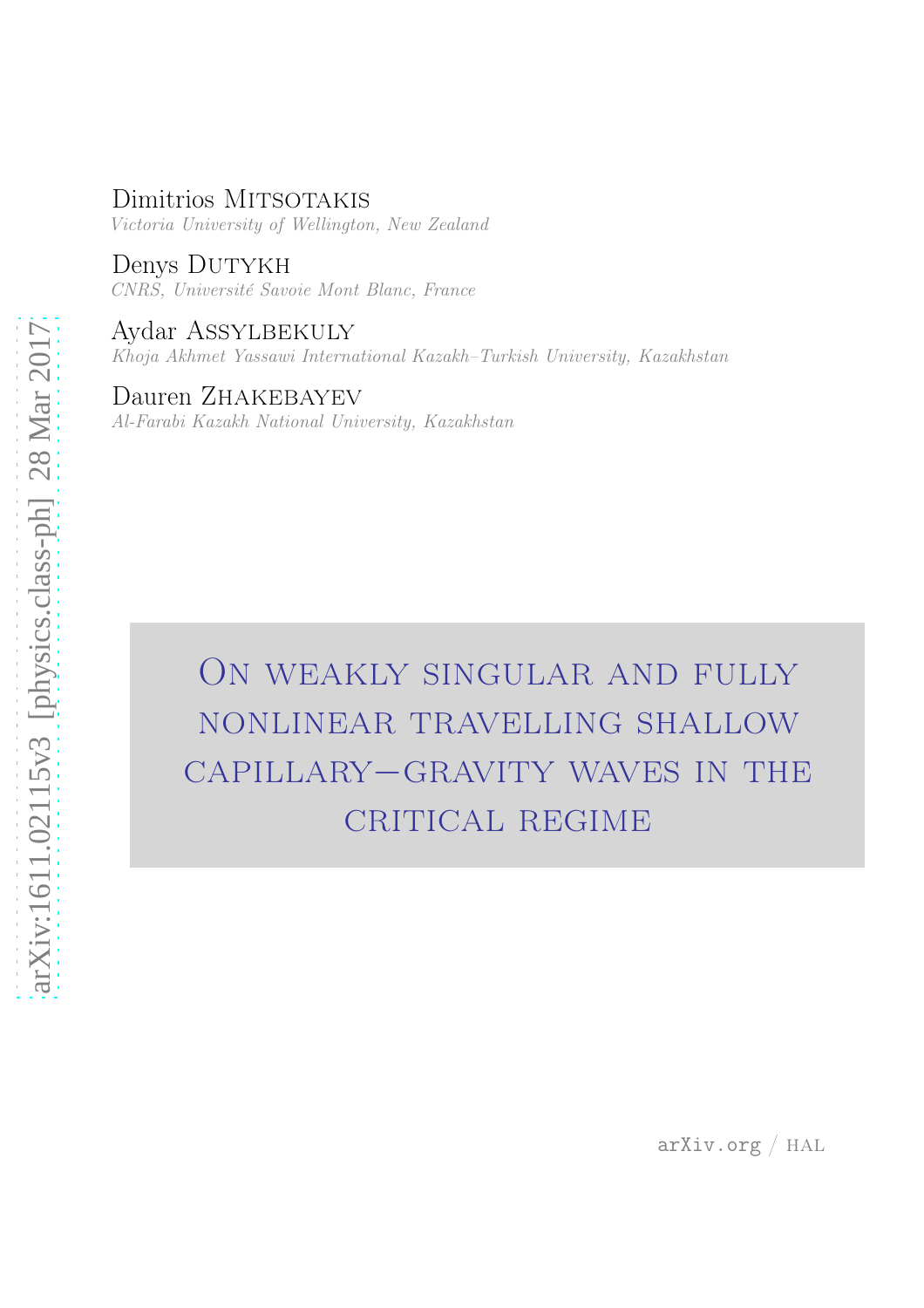# Dimitrios MITSOTAKIS

Victoria University of Wellington, New Zealand

Denys DUTYKH CNRS, Université Savoie Mont Blanc, France

Aydar Assylbekuly Khoja Akhmet Yassawi International Kazakh–Turkish University, Kazakhstan

Dauren Zhakebayev Al-Farabi Kazakh National University, Kazakhstan

> On weakly singular and fully nonlinear travelling shallow capillary−gravity waves in the CRITICAL REGIME

arXiv.org / hal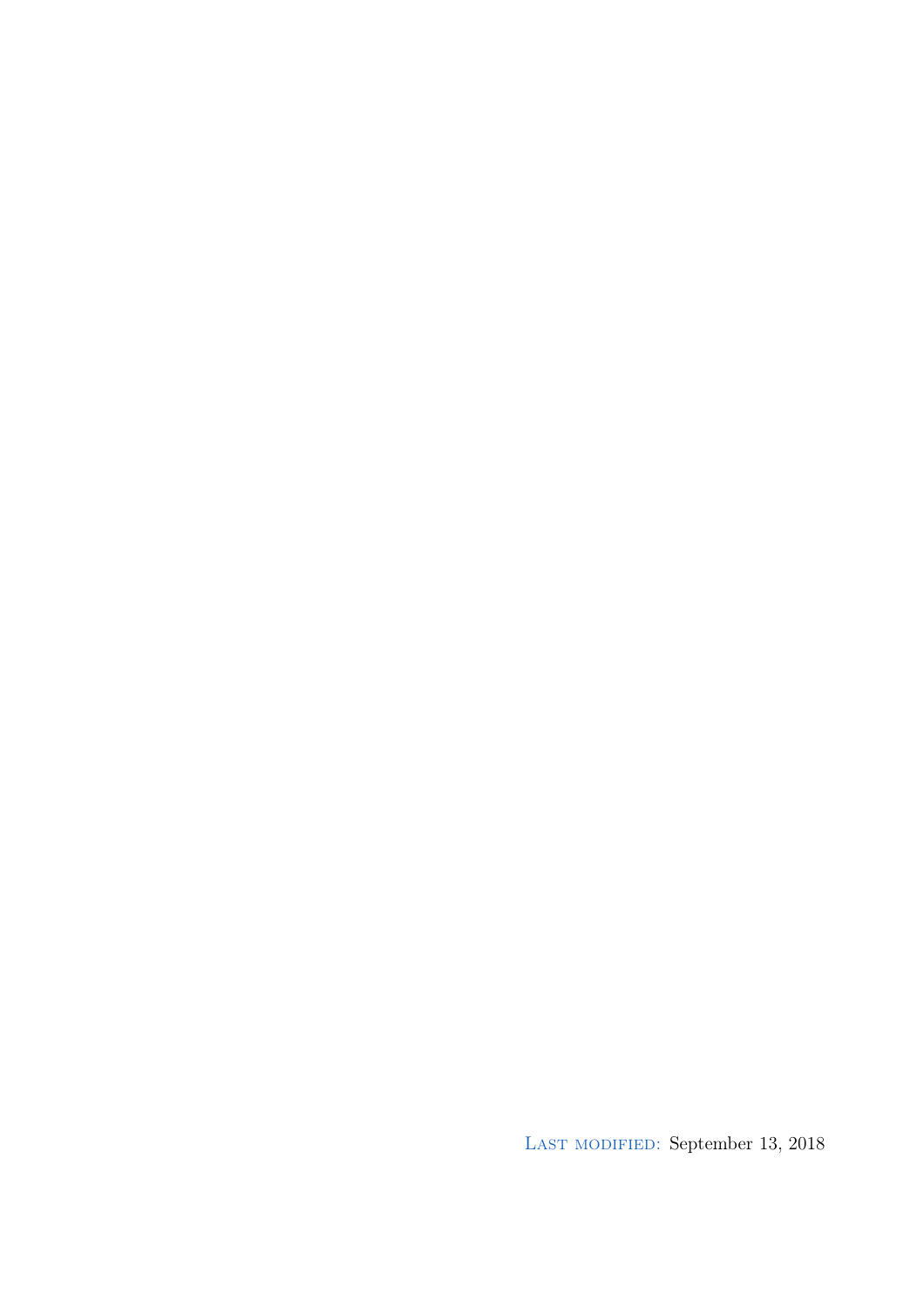LAST MODIFIED: September 13, 2018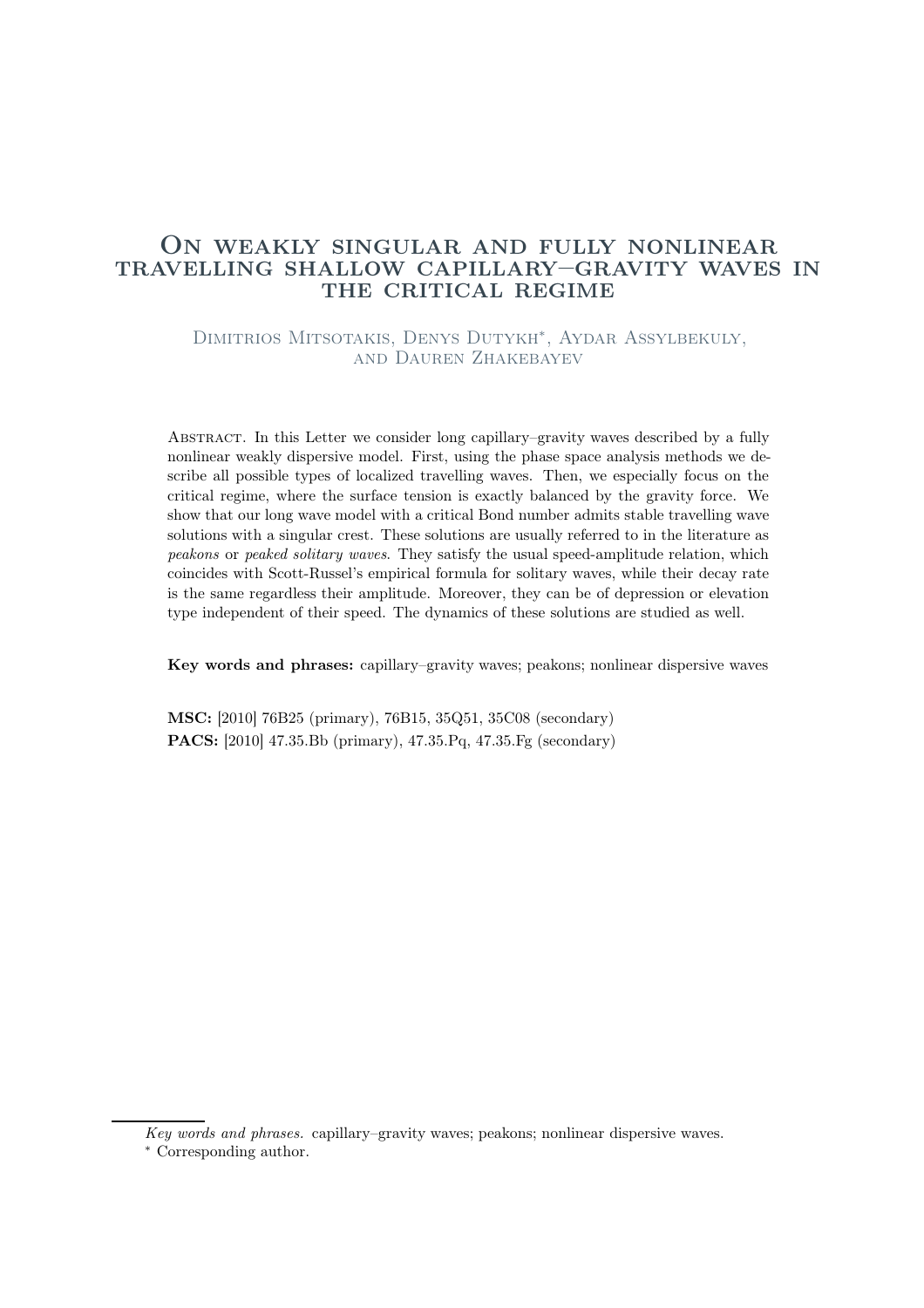### On weakly singular and fully nonlinear travelling shallow capillary–gravity waves in THE CRITICAL REGIME

Dimitrios Mitsotakis, Denys Dutykh<sup>∗</sup> , Aydar Assylbekuly, and Dauren Zhakebayev

Abstract. In this Letter we consider long capillary–gravity waves described by a fully nonlinear weakly dispersive model. First, using the phase space analysis methods we describe all possible types of localized travelling waves. Then, we especially focus on the critical regime, where the surface tension is exactly balanced by the gravity force. We show that our long wave model with a critical Bond number admits stable travelling wave solutions with a singular crest. These solutions are usually referred to in the literature as peakons or peaked solitary waves. They satisfy the usual speed-amplitude relation, which coincides with Scott-Russel's empirical formula for solitary waves, while their decay rate is the same regardless their amplitude. Moreover, they can be of depression or elevation type independent of their speed. The dynamics of these solutions are studied as well.

Key words and phrases: capillary–gravity waves; peakons; nonlinear dispersive waves

MSC: [2010] 76B25 (primary), 76B15, 35Q51, 35C08 (secondary) PACS: [2010] 47.35.Bb (primary), 47.35.Pq, 47.35.Fg (secondary)

Key words and phrases. capillary–gravity waves; peakons; nonlinear dispersive waves.

<sup>∗</sup> Corresponding author.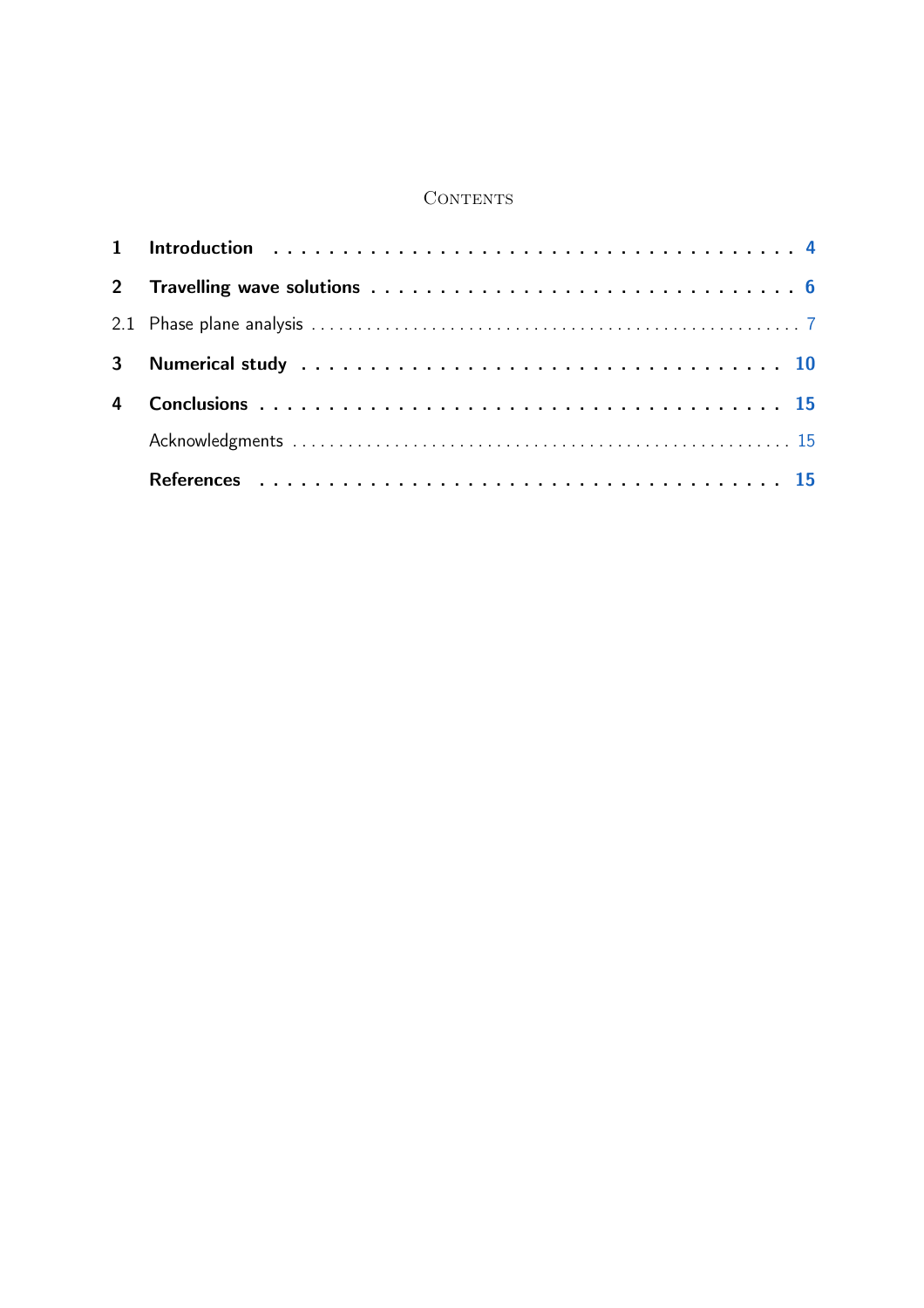### **CONTENTS**

| $\overline{4}$ |  |
|----------------|--|
|                |  |
|                |  |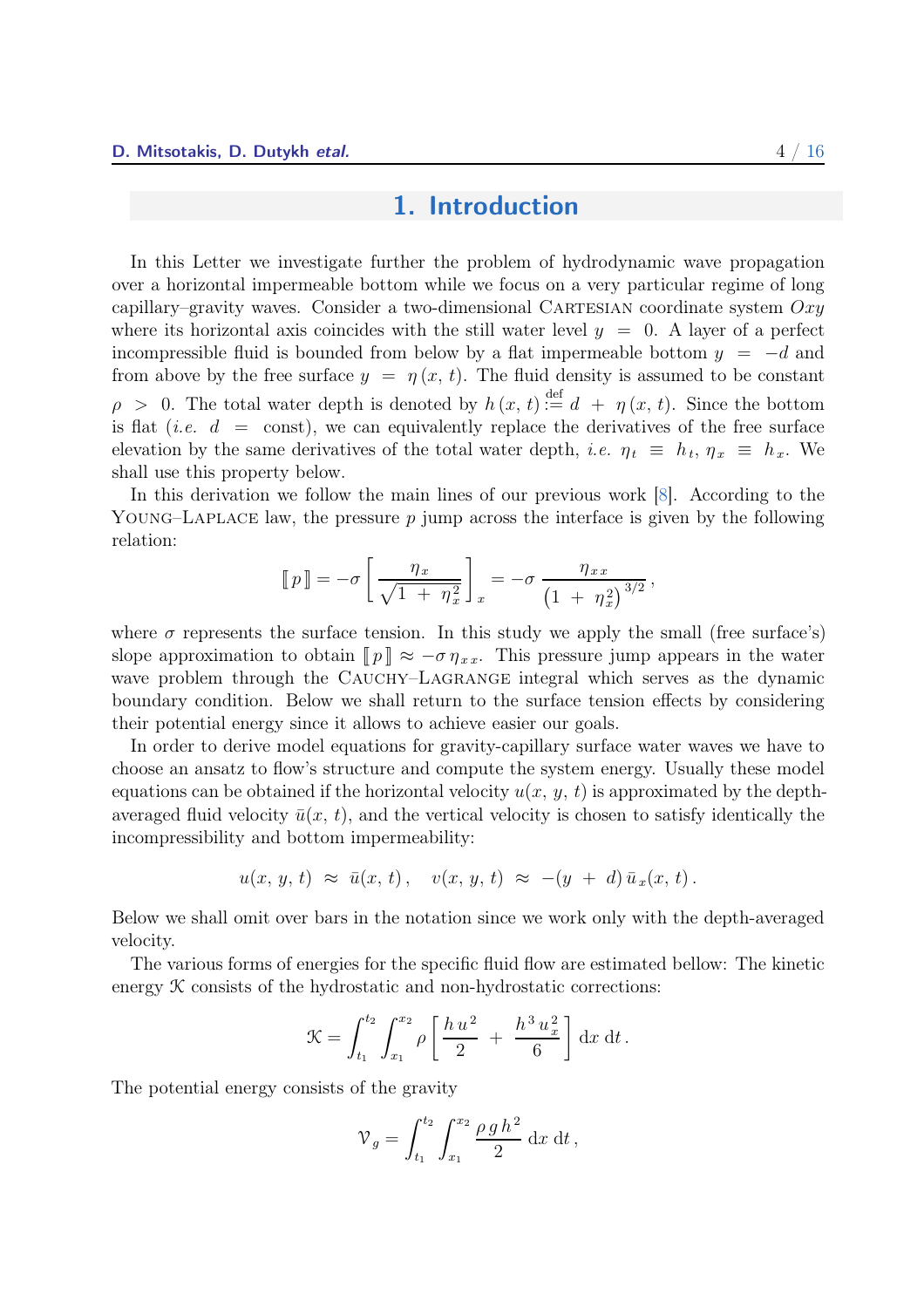## 1. Introduction

<span id="page-4-1"></span><span id="page-4-0"></span>In this Letter we investigate further the problem of hydrodynamic wave propagation over a horizontal impermeable bottom while we focus on a very particular regime of long capillary–gravity waves. Consider a two-dimensional CARTESIAN coordinate system  $Oxy$ where its horizontal axis coincides with the still water level  $y = 0$ . A layer of a perfect incompressible fluid is bounded from below by a flat impermeable bottom  $y = -d$  and from above by the free surface  $y = \eta(x, t)$ . The fluid density is assumed to be constant  $\rho > 0$ . The total water depth is denoted by  $h(x, t) \stackrel{\text{def}}{:=} d + \eta(x, t)$ . Since the bottom is flat (*i.e.*  $d = \text{const}$ ), we can equivalently replace the derivatives of the free surface elevation by the same derivatives of the total water depth, *i.e.*  $\eta_t \equiv h_t$ ,  $\eta_x \equiv h_x$ . We shall use this property below.

In this derivation we follow the main lines of our previous work [\[8](#page-16-1)]. According to the YOUNG–LAPLACE law, the pressure  $p$  jump across the interface is given by the following relation:

$$
\llbracket p \rrbracket = -\sigma \left[ \frac{\eta_x}{\sqrt{1 + \eta_x^2}} \right]_x = -\sigma \frac{\eta_{xx}}{\left( 1 + \eta_x^2 \right)^{3/2}},
$$

where  $\sigma$  represents the surface tension. In this study we apply the small (free surface's) slope approximation to obtain  $\llbracket p \rrbracket \approx -\sigma \eta_{xx}$ . This pressure jump appears in the water wave problem through the CAUCHY–LAGRANGE integral which serves as the dynamic boundary condition. Below we shall return to the surface tension effects by considering their potential energy since it allows to achieve easier our goals.

In order to derive model equations for gravity-capillary surface water waves we have to choose an ansatz to flow's structure and compute the system energy. Usually these model equations can be obtained if the horizontal velocity  $u(x, y, t)$  is approximated by the depthaveraged fluid velocity  $\bar{u}(x, t)$ , and the vertical velocity is chosen to satisfy identically the incompressibility and bottom impermeability:

$$
u(x, y, t) \approx \bar{u}(x, t), \quad v(x, y, t) \approx -(y + d)\bar{u}_x(x, t).
$$

Below we shall omit over bars in the notation since we work only with the depth-averaged velocity.

The various forms of energies for the specific fluid flow are estimated bellow: The kinetic energy  $K$  consists of the hydrostatic and non-hydrostatic corrections:

$$
\mathcal{K} = \int_{t_1}^{t_2} \int_{x_1}^{x_2} \rho \left[ \frac{h u^2}{2} + \frac{h^3 u_x^2}{6} \right] dx dt.
$$

The potential energy consists of the gravity

$$
\mathcal{V}_g = \int_{t_1}^{t_2} \int_{x_1}^{x_2} \frac{\rho g h^2}{2} \, \mathrm{d}x \, \mathrm{d}t \,,
$$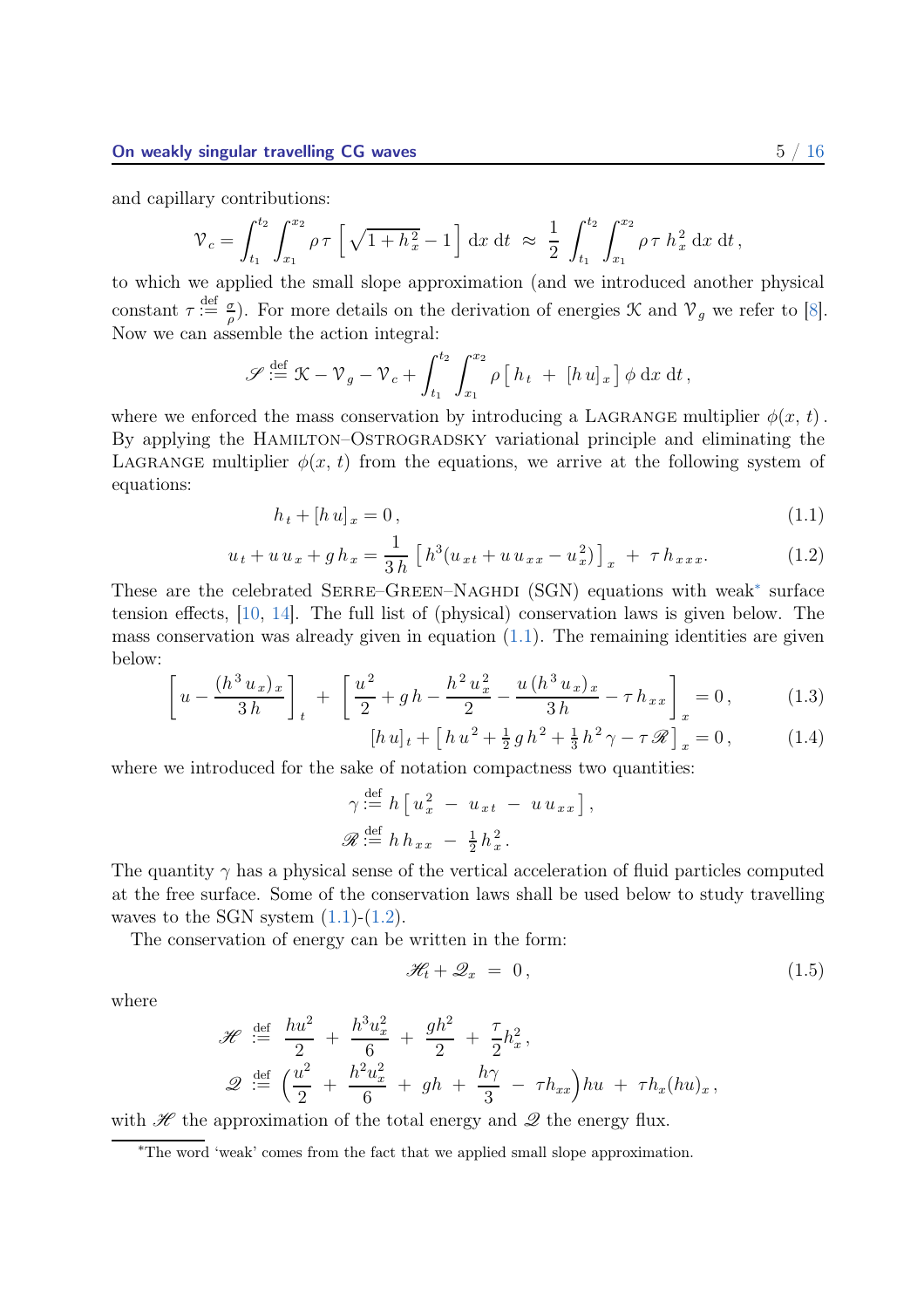<span id="page-5-5"></span>and capillary contributions:

$$
\mathcal{V}_c = \int_{t_1}^{t_2} \int_{x_1}^{x_2} \rho \tau \left[ \sqrt{1 + h_x^2} - 1 \right] dx dt \approx \frac{1}{2} \int_{t_1}^{t_2} \int_{x_1}^{x_2} \rho \tau h_x^2 dx dt,
$$

to which we applied the small slope approximation (and we introduced another physical constant  $\tau := \frac{d}{\rho}$ . For more details on the derivation of energies  $\mathcal{K}$  and  $\mathcal{V}_g$  we refer to [\[8\]](#page-16-1). Now we can assemble the action integral:

$$
\mathscr{S} \stackrel{\text{def}}{:=} \mathfrak{K} - \mathfrak{V}_g - \mathfrak{V}_c + \int_{t_1}^{t_2} \int_{x_1}^{x_2} \rho \left[ h_t + [h u]_x \right] \phi \, dx \, dt,
$$

where we enforced the mass conservation by introducing a LAGRANGE multiplier  $\phi(x, t)$ . By applying the HAMILTON–OSTROGRADSKY variational principle and eliminating the LAGRANGE multiplier  $\phi(x, t)$  from the equations, we arrive at the following system of equations:

$$
h_t + [h u]_x = 0,\t\t(1.1)
$$

$$
u_t + u u_x + g h_x = \frac{1}{3h} \left[ h^3 (u_{xt} + u u_{xx} - u_x^2) \right]_x + \tau h_{xxx}.
$$
 (1.2)

These are the celebrated SERRE–GREEN–NAGHDI (SGN) equations with weak<sup>[∗](#page-5-0)</sup> surface tension effects, [\[10](#page-16-2), [14\]](#page-16-3). The full list of (physical) conservation laws is given below. The mass conservation was already given in equation  $(1.1)$ . The remaining identities are given below:

$$
\left[u - \frac{(h^3 u_x)_x}{3h}\right]_t + \left[\frac{u^2}{2} + gh - \frac{h^2 u_x^2}{2} - \frac{u(h^3 u_x)_x}{3h} - \tau h_{xx}\right]_x = 0, \quad (1.3)
$$

$$
[h\,u]_t + [h\,u^2 + \frac{1}{2}\,g\,h^2 + \frac{1}{3}\,h^2\,\gamma - \tau\,\mathscr{R}]_x = 0\,,\tag{1.4}
$$

<span id="page-5-4"></span><span id="page-5-3"></span><span id="page-5-2"></span><span id="page-5-1"></span>,

where we introduced for the sake of notation compactness two quantities:

$$
\gamma \stackrel{\text{def}}{:=} h \left[ u_x^2 - u_{xt} - u u_{xx} \right]
$$
  

$$
\mathscr{R} \stackrel{\text{def}}{:=} h h_{xx} - \frac{1}{2} h_x^2.
$$

The quantity  $\gamma$  has a physical sense of the vertical acceleration of fluid particles computed at the free surface. Some of the conservation laws shall be used below to study travelling waves to the SGN system  $(1.1)$ - $(1.2)$ .

The conservation of energy can be written in the form:

$$
\mathcal{H}_t + \mathcal{Q}_x = 0, \qquad (1.5)
$$

where

$$
\mathcal{H} \stackrel{\text{def}}{:=} \frac{hu^2}{2} + \frac{h^3 u_x^2}{6} + \frac{gh^2}{2} + \frac{\tau}{2} h_x^2,
$$
  

$$
\mathcal{Q} \stackrel{\text{def}}{:=} \left(\frac{u^2}{2} + \frac{h^2 u_x^2}{6} + gh + \frac{h\gamma}{3} - \tau h_{xx}\right)hu + \tau h_x(hu)_x,
$$

with  $\mathscr H$  the approximation of the total energy and  $\mathscr Q$  the energy flux.

<span id="page-5-0"></span><sup>∗</sup>The word 'weak' comes from the fact that we applied small slope approximation.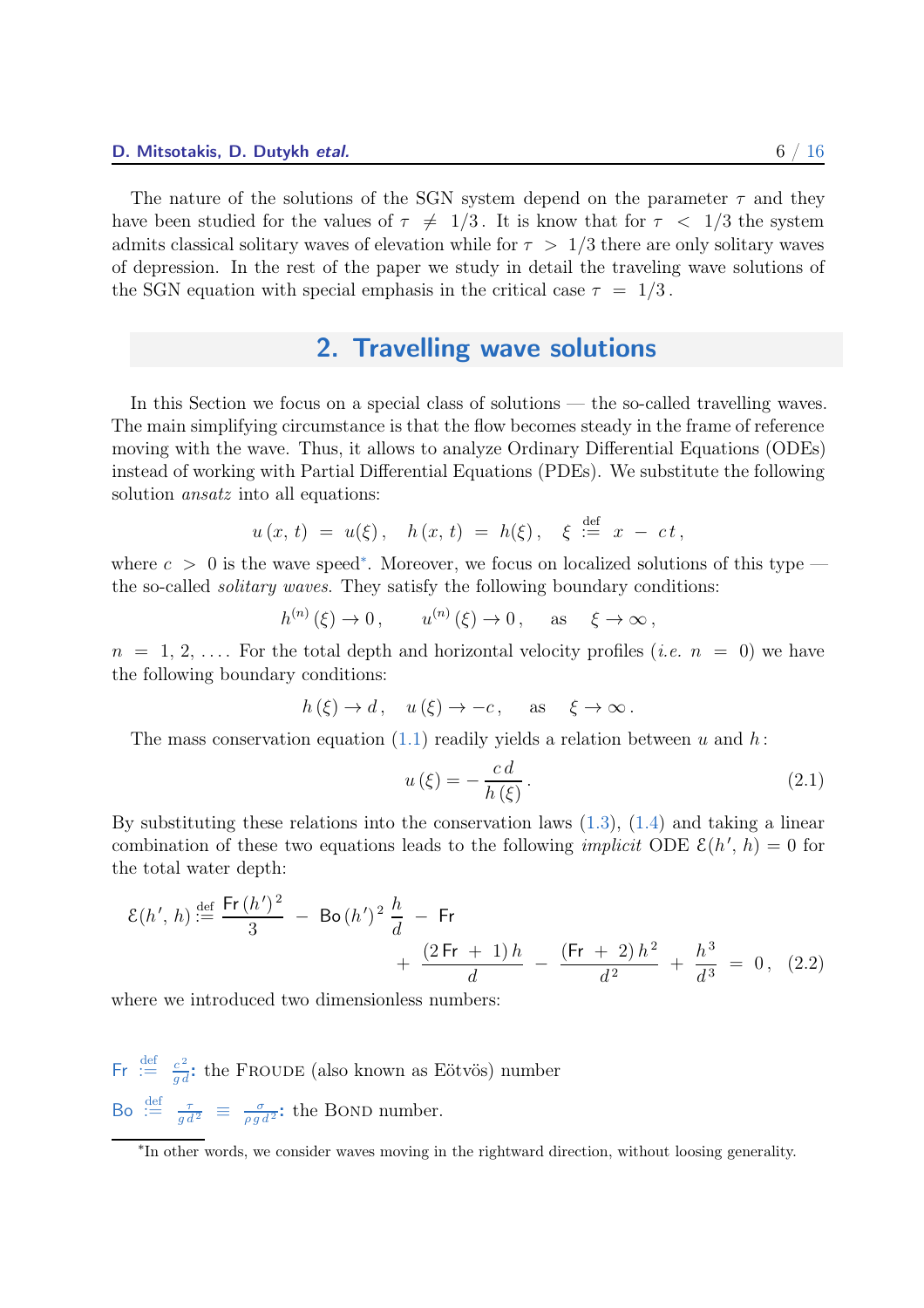<span id="page-6-0"></span>The nature of the solutions of the SGN system depend on the parameter  $\tau$  and they have been studied for the values of  $\tau \neq 1/3$ . It is know that for  $\tau < 1/3$  the system admits classical solitary waves of elevation while for  $\tau > 1/3$  there are only solitary waves of depression. In the rest of the paper we study in detail the traveling wave solutions of the SGN equation with special emphasis in the critical case  $\tau = 1/3$ .

# 2. Travelling wave solutions

In this Section we focus on a special class of solutions — the so-called travelling waves. The main simplifying circumstance is that the flow becomes steady in the frame of reference moving with the wave. Thus, it allows to analyze Ordinary Differential Equations (ODEs) instead of working with Partial Differential Equations (PDEs). We substitute the following solution ansatz into all equations:

$$
u(x, t) = u(\xi), \quad h(x, t) = h(\xi), \quad \xi \stackrel{\text{def}}{:=} x - ct,
$$

where  $c > 0$  is the wave speed<sup>\*</sup>. Moreover, we focus on localized solutions of this type the so-called solitary waves. They satisfy the following boundary conditions:

$$
h^{(n)}(\xi) \to 0, \qquad u^{(n)}(\xi) \to 0, \quad \text{as} \quad \xi \to \infty,
$$

 $n = 1, 2, \ldots$  For the total depth and horizontal velocity profiles (*i.e.*  $n = 0$ ) we have the following boundary conditions:

$$
h(\xi) \to d
$$
,  $u(\xi) \to -c$ , as  $\xi \to \infty$ .

The mass conservation equation [\(1.1\)](#page-5-1) readily yields a relation between u and h:

<span id="page-6-2"></span>
$$
u(\xi) = -\frac{cd}{h(\xi)}.\tag{2.1}
$$

By substituting these relations into the conservation laws  $(1.3)$ ,  $(1.4)$  and taking a linear combination of these two equations leads to the following *implicit* ODE  $\mathcal{E}(h', h) = 0$  for the total water depth:

$$
\mathcal{E}(h',h) \stackrel{\text{def}}{:=} \frac{\mathsf{Fr}\,(h')^2}{3} - \mathsf{Bo}\,(h')^2 \,\frac{h}{d} - \mathsf{Fr} + \frac{(2\,\mathsf{Fr}\,+\,1)\,h}{d} - \frac{(\mathsf{Fr}\,+\,2)\,h^2}{d^2} + \frac{h^3}{d^3} = 0\,,\tag{2.2}
$$

where we introduced two dimensionless numbers:

 $\mathsf{Fr} \stackrel{\text{def}}{:=} \frac{e^2}{gd}$ : the FROUDE (also known as Eötvös) number Bo  $\stackrel{\text{def}}{:=}\frac{\tau}{gd^2}\equiv\frac{\sigma}{\rho gd^2}$ : the BOND number.

<span id="page-6-1"></span><sup>∗</sup> In other words, we consider waves moving in the rightward direction, without loosing generality.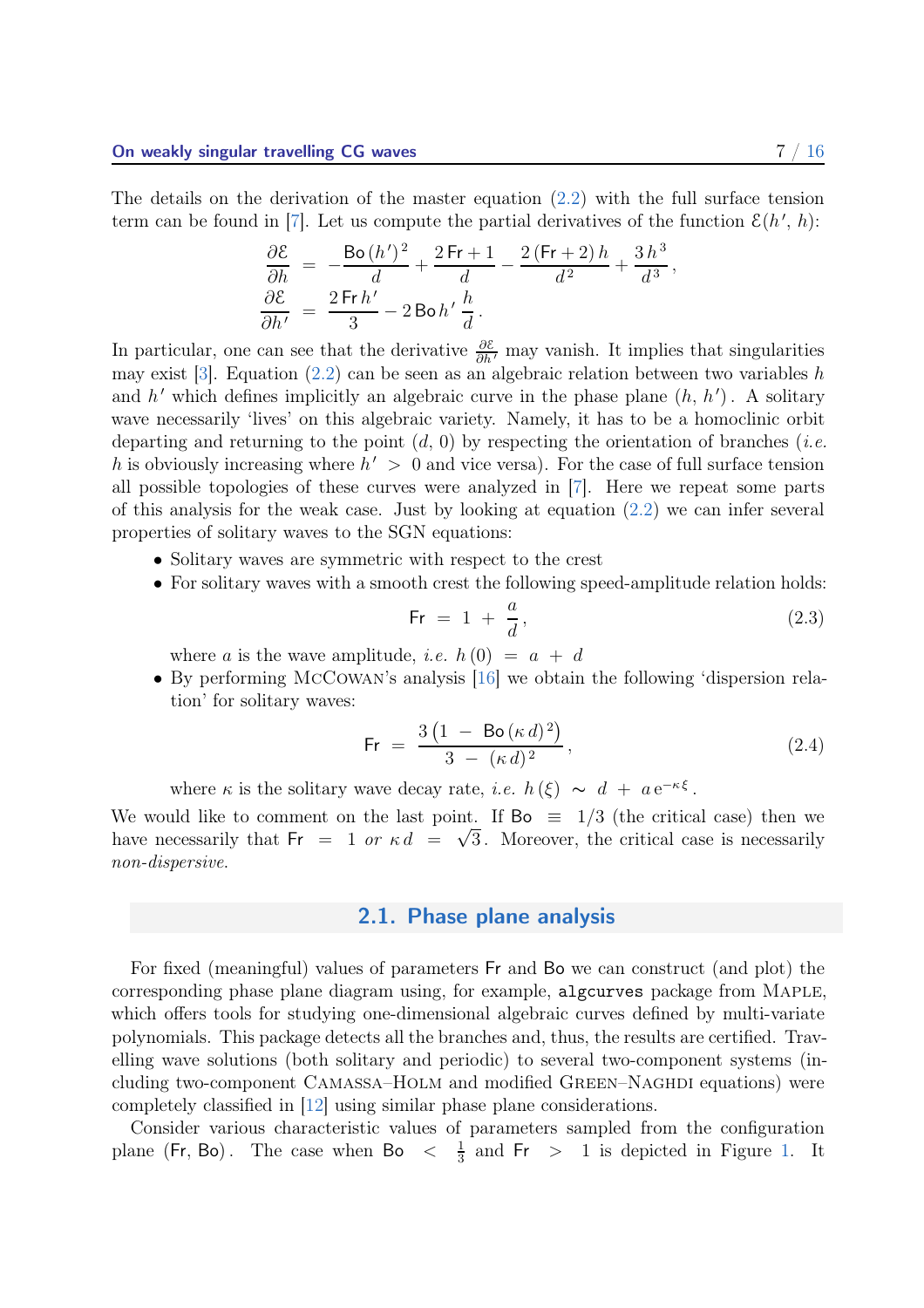<span id="page-7-3"></span>The details on the derivation of the master equation [\(2.2\)](#page-6-2) with the full surface tension term can be found in [\[7\]](#page-16-4). Let us compute the partial derivatives of the function  $\mathcal{E}(h', h)$ :

$$
\begin{aligned} \frac{\partial \mathcal{E}}{\partial h} &= \ -\frac{\text{Bo}\left(h'\right)^2}{d} + \frac{2\,\text{Fr} + 1}{d} - \frac{2\left(\text{Fr} + 2\right)h}{d^2} + \frac{3\,h^3}{d^3}, \\ \frac{\partial \mathcal{E}}{\partial h'} &= \ \frac{2\,\text{Fr}\,h'}{3} - 2\,\text{Bo}\,h'\,\frac{h}{d} \,. \end{aligned}
$$

In particular, one can see that the derivative  $\frac{\partial \mathcal{E}}{\partial h'}$  may vanish. It implies that singularities may exist [\[3\]](#page-15-2). Equation  $(2.2)$  can be seen as an algebraic relation between two variables h and h' which defines implicitly an algebraic curve in the phase plane  $(h, h')$ . A solitary wave necessarily 'lives' on this algebraic variety. Namely, it has to be a homoclinic orbit departing and returning to the point  $(d, 0)$  by respecting the orientation of branches (*i.e.* h is obviously increasing where  $h' > 0$  and vice versa). For the case of full surface tension all possible topologies of these curves were analyzed in [\[7\]](#page-16-4). Here we repeat some parts of this analysis for the weak case. Just by looking at equation  $(2.2)$  we can infer several properties of solitary waves to the SGN equations:

- Solitary waves are symmetric with respect to the crest
- For solitary waves with a smooth crest the following speed-amplitude relation holds:

<span id="page-7-1"></span>
$$
\mathsf{Fr} = 1 + \frac{a}{d},\tag{2.3}
$$

where a is the wave amplitude, *i.e.*  $h(0) = a + d$ 

• By performing McCowan's analysis [\[16](#page-16-5)] we obtain the following 'dispersion relation' for solitary waves:

<span id="page-7-2"></span>
$$
\mathsf{Fr} = \frac{3\left(1 - \mathsf{Bo}\left(\kappa d\right)^2\right)}{3 - \left(\kappa d\right)^2},\tag{2.4}
$$

where  $\kappa$  is the solitary wave decay rate, *i.e.*  $h(\xi) \sim d + a e^{-\kappa \xi}$ .

<span id="page-7-0"></span>We would like to comment on the last point. If  $\text{Bo} \equiv 1/3$  (the critical case) then we have necessarily that  $Fr = 1$  or  $\kappa d = \sqrt{3}$ . Moreover, the critical case is necessarily non-dispersive.

#### 2.1. Phase plane analysis

For fixed (meaningful) values of parameters Fr and Bo we can construct (and plot) the corresponding phase plane diagram using, for example, algcurves package from Maple, which offers tools for studying one-dimensional algebraic curves defined by multi-variate polynomials. This package detects all the branches and, thus, the results are certified. Travelling wave solutions (both solitary and periodic) to several two-component systems (including two-component CAMASSA–HOLM and modified GREEN–NAGHDI equations) were completely classified in [\[12](#page-16-6)] using similar phase plane considerations.

Consider various characteristic values of parameters sampled from the configuration plane (Fr, Bo). The case when Bo  $\lt \frac{1}{3}$  $\frac{1}{3}$  and Fr > 1 is depicted in Figure [1.](#page-8-0) It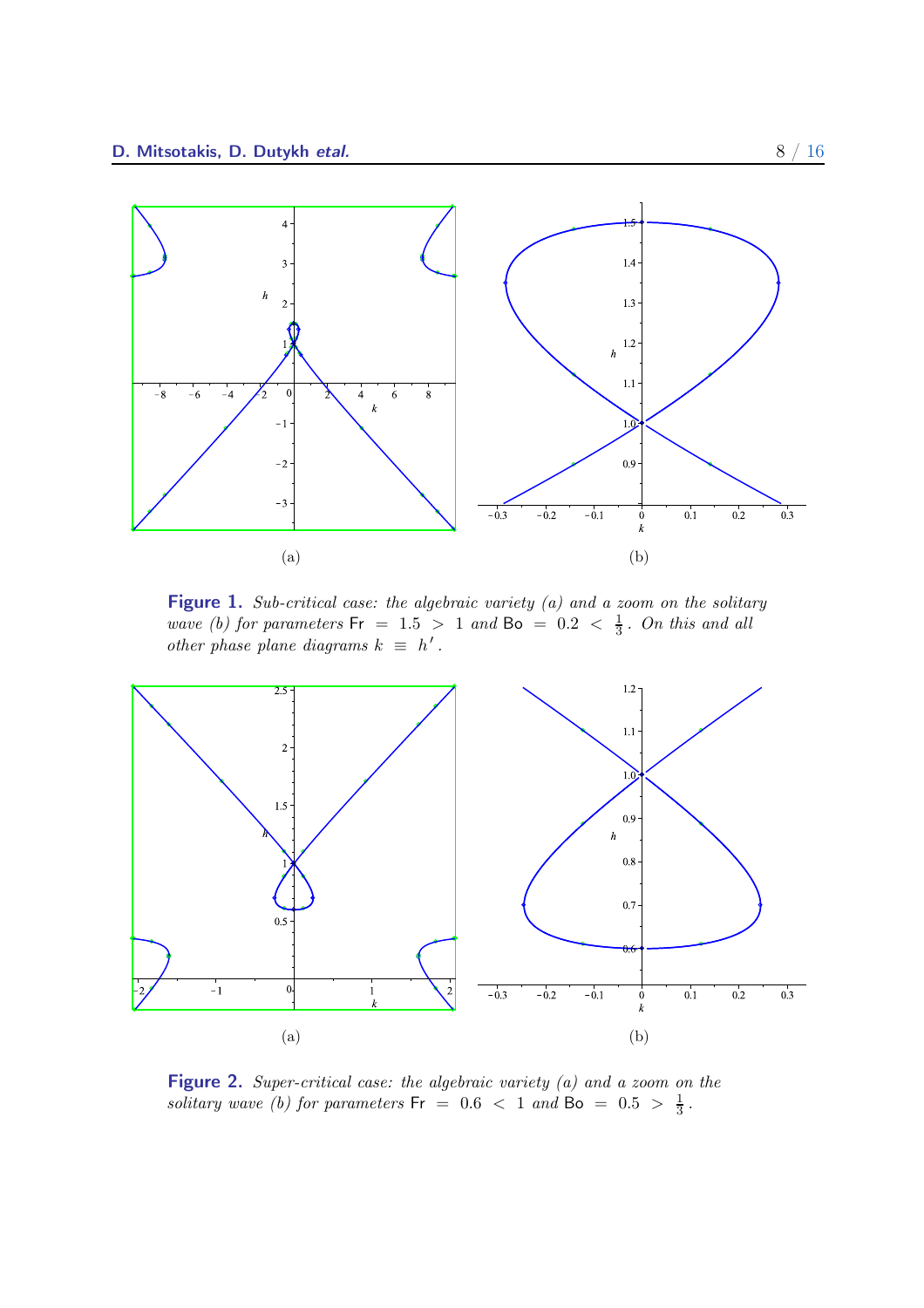<span id="page-8-0"></span>

Figure 1. Sub-critical case: the algebraic variety (a) and a zoom on the solitary wave (b) for parameters  $Fr = 1.5 > 1$  and  $Bo = 0.2 < \frac{1}{3}$ . On this and all other phase plane diagrams  $k \equiv h'$ .

<span id="page-8-1"></span>

Figure 2. Super-critical case: the algebraic variety (a) and a zoom on the solitary wave (b) for parameters  $Fr = 0.6 < 1$  and  $Bo = 0.5 > \frac{1}{3}$  $\frac{1}{3}$ .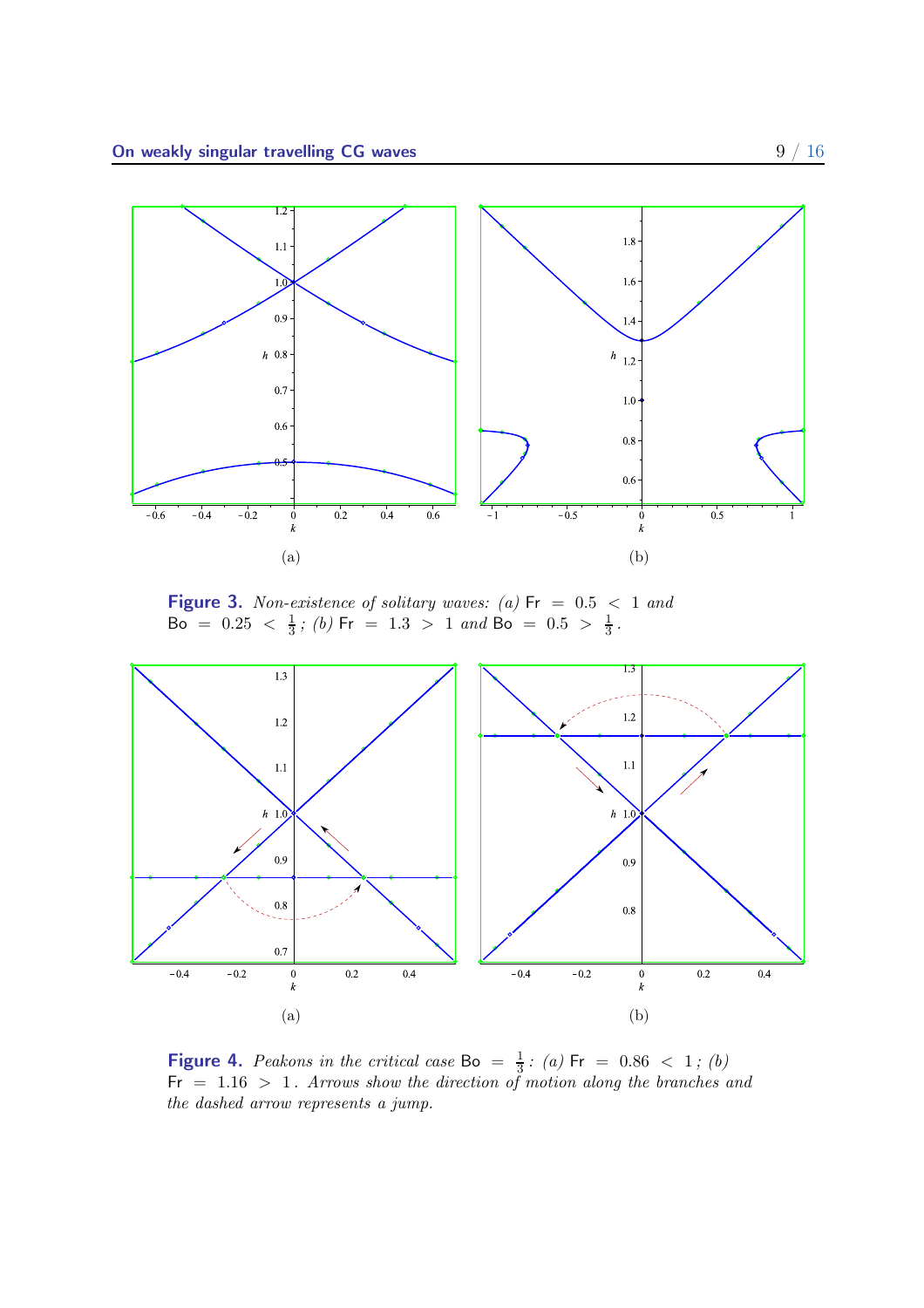<span id="page-9-0"></span>

**Figure 3.** Non-existence of solitary waves: (a)  $Fr = 0.5 < 1$  and Bo =  $0.25 < \frac{1}{3}$ ; (b) Fr = 1.3 > 1 and Bo =  $0.5 > \frac{1}{3}$ .

<span id="page-9-1"></span>

**Figure 4.** Peakons in the critical case Bo =  $\frac{1}{3}$  $\frac{1}{3}$ : (a) Fr = 0.86 < 1; (b)  $Fr = 1.16 > 1$ . Arrows show the direction of motion along the branches and the dashed arrow represents a jump.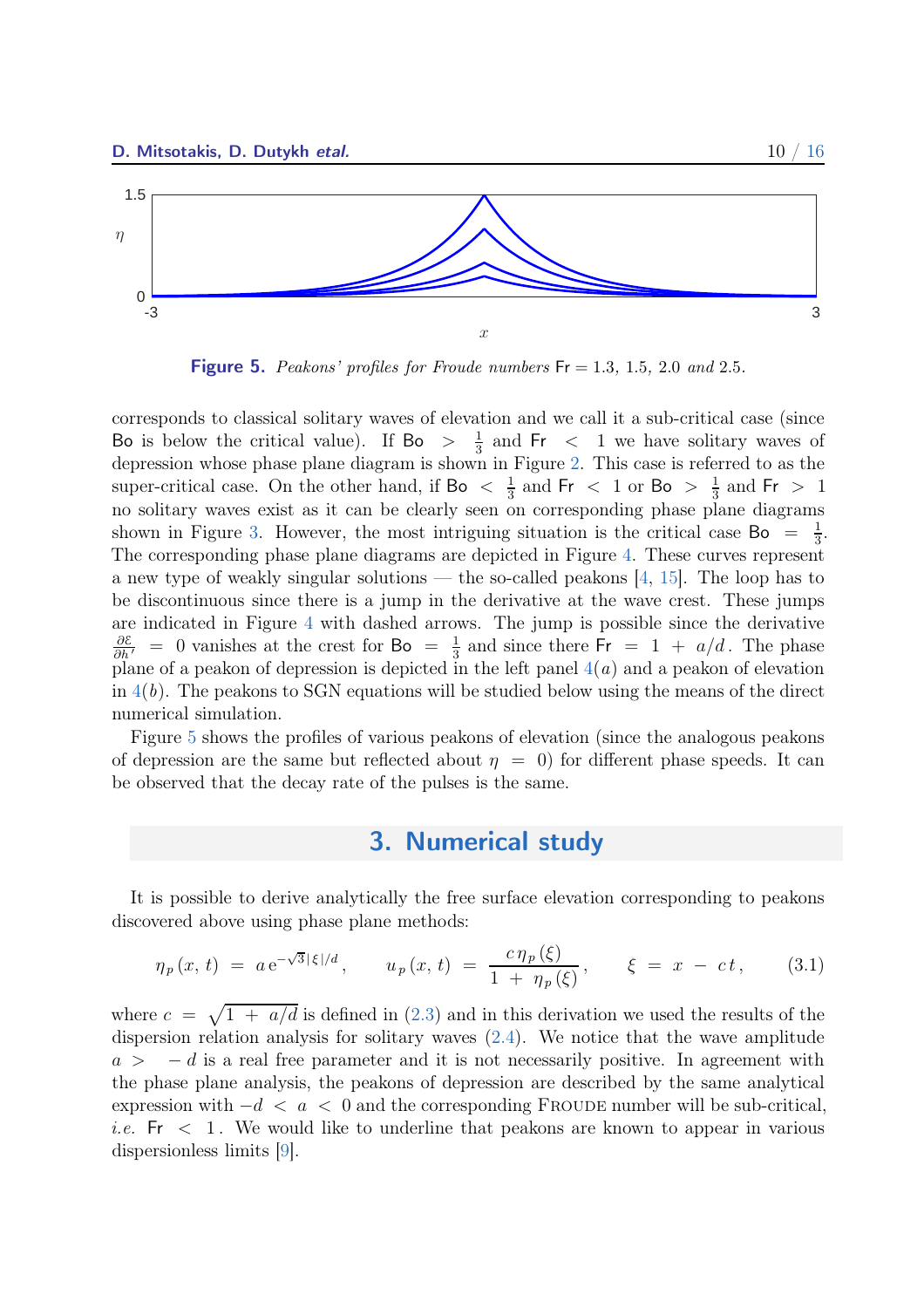<span id="page-10-3"></span><span id="page-10-1"></span>

**Figure 5.** Peakons' profiles for Froude numbers  $Fr = 1.3, 1.5, 2.0$  and 2.5.

corresponds to classical solitary waves of elevation and we call it a sub-critical case (since Bo is below the critical value). If Bo  $\frac{1}{3}$  $\frac{1}{3}$  and Fr < 1 we have solitary waves of depression whose phase plane diagram is shown in Figure [2.](#page-8-1) This case is referred to as the super-critical case. On the other hand, if  $\text{Bo} < \frac{1}{3}$  $\frac{1}{3}$  and Fr < 1 or Bo >  $\frac{1}{3}$  $\frac{1}{3}$  and Fr > 1 no solitary waves exist as it can be clearly seen on corresponding phase plane diagrams shown in Figure [3.](#page-9-0) However, the most intriguing situation is the critical case Bo =  $\frac{1}{3}$  $\frac{1}{3}$ . The corresponding phase plane diagrams are depicted in Figure [4.](#page-9-1) These curves represent a new type of weakly singular solutions — the so-called peakons [\[4](#page-15-3), [15\]](#page-16-7). The loop has to be discontinuous since there is a jump in the derivative at the wave crest. These jumps are indicated in Figure [4](#page-9-1) with dashed arrows. The jump is possible since the derivative  $\frac{\partial \mathcal{E}}{\partial h'}$  = 0 vanishes at the crest for Bo =  $\frac{1}{3}$  $\frac{1}{3}$  and since there  $Fr = 1 + a/d$ . The phase plane of a peakon of depression is depicted in the left panel  $4(a)$  $4(a)$  and a peakon of elevation in  $4(b)$  $4(b)$ . The peakons to SGN equations will be studied below using the means of the direct numerical simulation.

<span id="page-10-0"></span>Figure [5](#page-10-1) shows the profiles of various peakons of elevation (since the analogous peakons of depression are the same but reflected about  $\eta = 0$  for different phase speeds. It can be observed that the decay rate of the pulses is the same.

## 3. Numerical study

It is possible to derive analytically the free surface elevation corresponding to peakons discovered above using phase plane methods:

<span id="page-10-2"></span>
$$
\eta_p(x, t) = a e^{-\sqrt{3}|\xi|/d}, \qquad u_p(x, t) = \frac{c \eta_p(\xi)}{1 + \eta_p(\xi)}, \qquad \xi = x - ct, \tag{3.1}
$$

where  $c = \sqrt{1 + a/d}$  is defined in [\(2.3\)](#page-7-1) and in this derivation we used the results of the dispersion relation analysis for solitary waves [\(2.4\)](#page-7-2). We notice that the wave amplitude  $a > -d$  is a real free parameter and it is not necessarily positive. In agreement with the phase plane analysis, the peakons of depression are described by the same analytical expression with  $-d < a < 0$  and the corresponding FROUDE number will be sub-critical, *i.e.* Fr  $\leq 1$ . We would like to underline that peakons are known to appear in various dispersionless limits [\[9](#page-16-8)].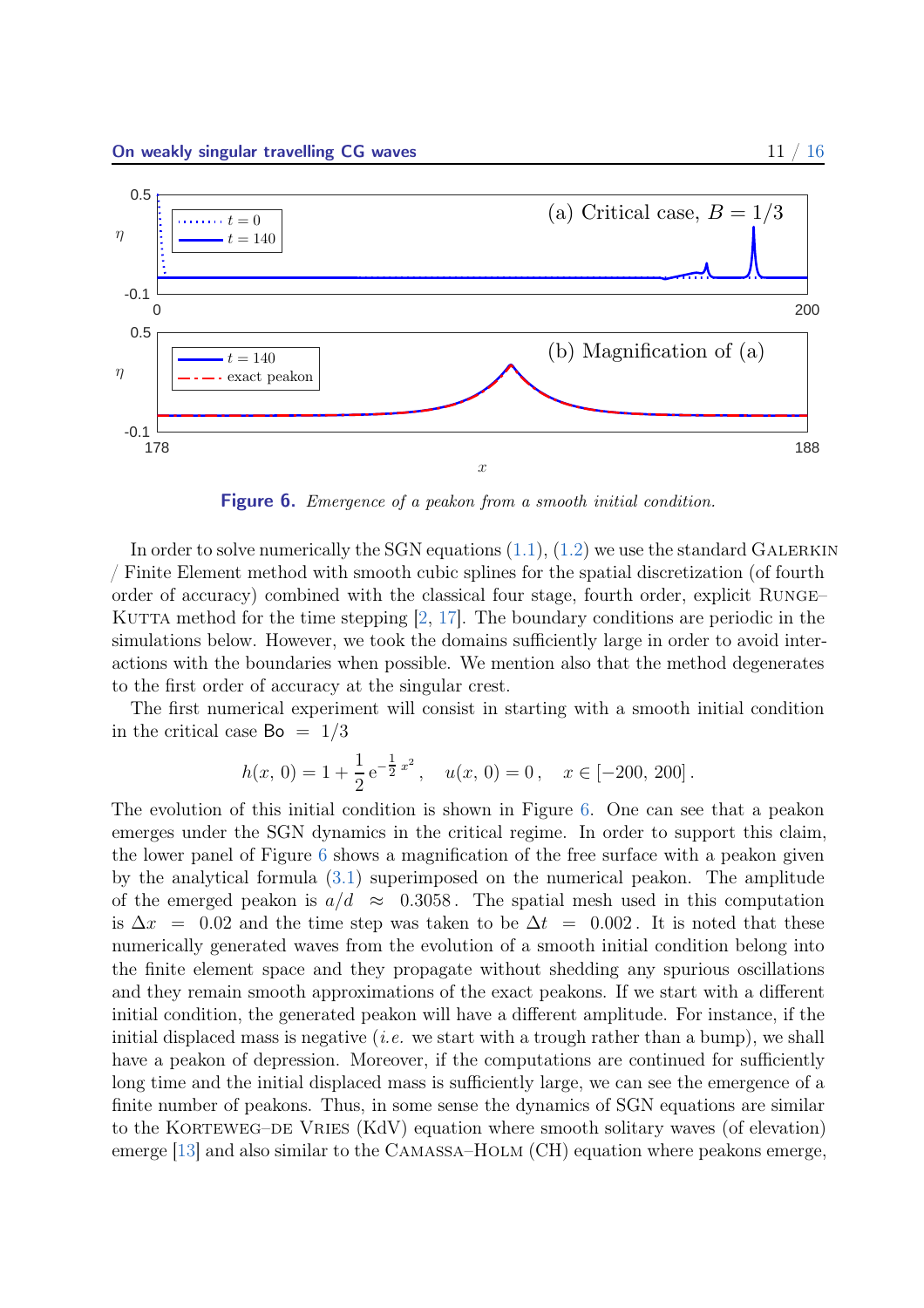<span id="page-11-1"></span><span id="page-11-0"></span>

Figure 6. Emergence of a peakon from a smooth initial condition.

In order to solve numerically the SGN equations  $(1.1)$ ,  $(1.2)$  we use the standard GALERKIN / Finite Element method with smooth cubic splines for the spatial discretization (of fourth order of accuracy) combined with the classical four stage, fourth order, explicit Runge– KUTTA method for the time stepping  $\vert 2, 17 \vert$  $\vert 2, 17 \vert$  $\vert 2, 17 \vert$ . The boundary conditions are periodic in the simulations below. However, we took the domains sufficiently large in order to avoid interactions with the boundaries when possible. We mention also that the method degenerates to the first order of accuracy at the singular crest.

The first numerical experiment will consist in starting with a smooth initial condition in the critical case  $Bo = 1/3$ 

$$
h(x, 0) = 1 + \frac{1}{2} e^{-\frac{1}{2}x^2}
$$
,  $u(x, 0) = 0$ ,  $x \in [-200, 200]$ .

The evolution of this initial condition is shown in Figure [6.](#page-11-0) One can see that a peakon emerges under the SGN dynamics in the critical regime. In order to support this claim, the lower panel of Figure [6](#page-11-0) shows a magnification of the free surface with a peakon given by the analytical formula [\(3.1\)](#page-10-2) superimposed on the numerical peakon. The amplitude of the emerged peakon is  $a/d \approx 0.3058$ . The spatial mesh used in this computation is  $\Delta x = 0.02$  and the time step was taken to be  $\Delta t = 0.002$ . It is noted that these numerically generated waves from the evolution of a smooth initial condition belong into the finite element space and they propagate without shedding any spurious oscillations and they remain smooth approximations of the exact peakons. If we start with a different initial condition, the generated peakon will have a different amplitude. For instance, if the initial displaced mass is negative (*i.e.* we start with a trough rather than a bump), we shall have a peakon of depression. Moreover, if the computations are continued for sufficiently long time and the initial displaced mass is sufficiently large, we can see the emergence of a finite number of peakons. Thus, in some sense the dynamics of SGN equations are similar to the KORTEWEG–DE VRIES (KdV) equation where smooth solitary waves (of elevation) emerge [\[13\]](#page-16-10) and also similar to the Camassa–Holm (CH) equation where peakons emerge,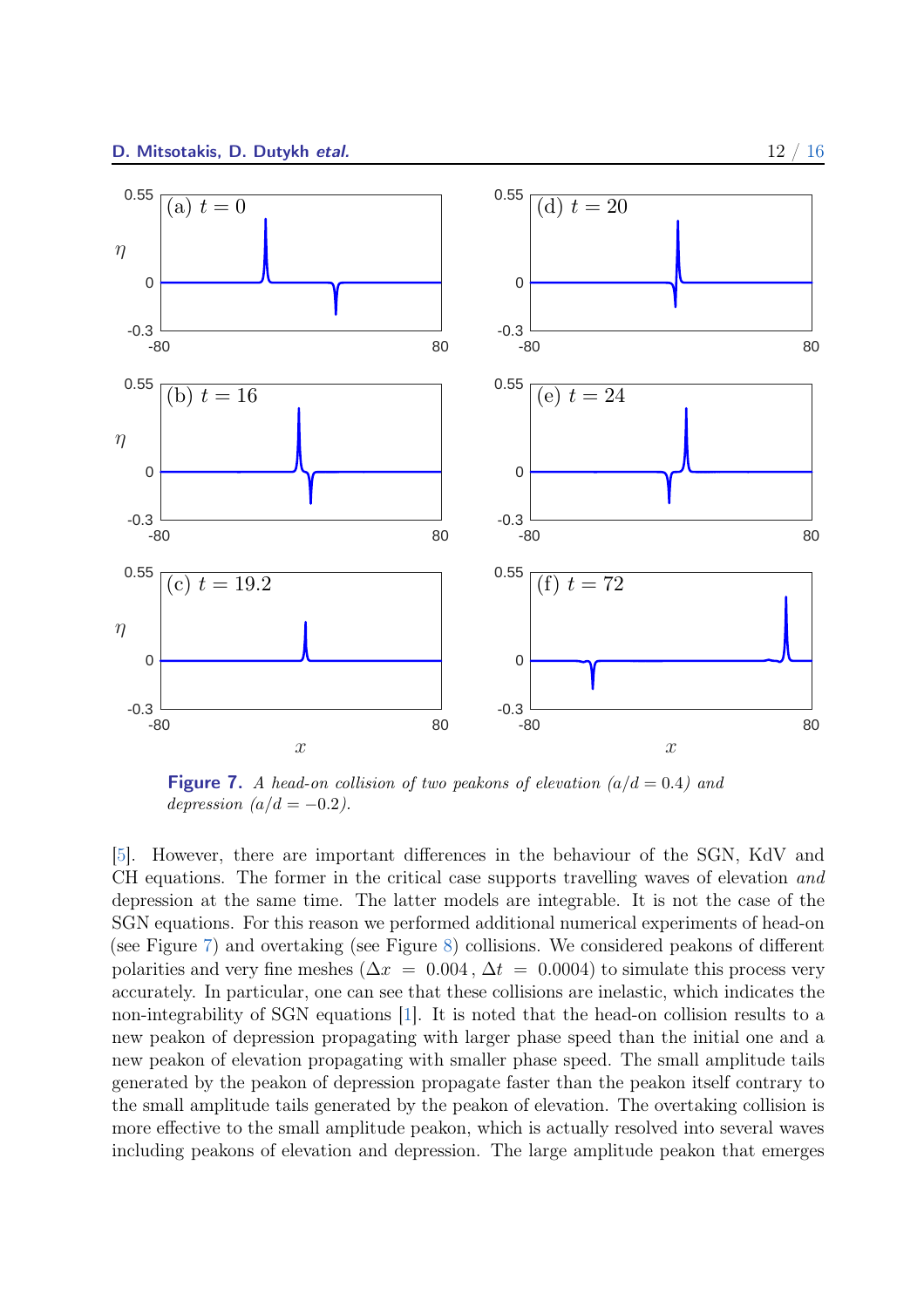<span id="page-12-1"></span><span id="page-12-0"></span>

**Figure 7.** A head-on collision of two peakons of elevation  $(a/d = 0.4)$  and depression  $(a/d = -0.2)$ .

[\[5](#page-16-11)]. However, there are important differences in the behaviour of the SGN, KdV and CH equations. The former in the critical case supports travelling waves of elevation and depression at the same time. The latter models are integrable. It is not the case of the SGN equations. For this reason we performed additional numerical experiments of head-on (see Figure [7\)](#page-12-0) and overtaking (see Figure [8\)](#page-13-0) collisions. We considered peakons of different polarities and very fine meshes ( $\Delta x = 0.004$ ,  $\Delta t = 0.0004$ ) to simulate this process very accurately. In particular, one can see that these collisions are inelastic, which indicates the non-integrability of SGN equations [\[1\]](#page-15-5). It is noted that the head-on collision results to a new peakon of depression propagating with larger phase speed than the initial one and a new peakon of elevation propagating with smaller phase speed. The small amplitude tails generated by the peakon of depression propagate faster than the peakon itself contrary to the small amplitude tails generated by the peakon of elevation. The overtaking collision is more effective to the small amplitude peakon, which is actually resolved into several waves including peakons of elevation and depression. The large amplitude peakon that emerges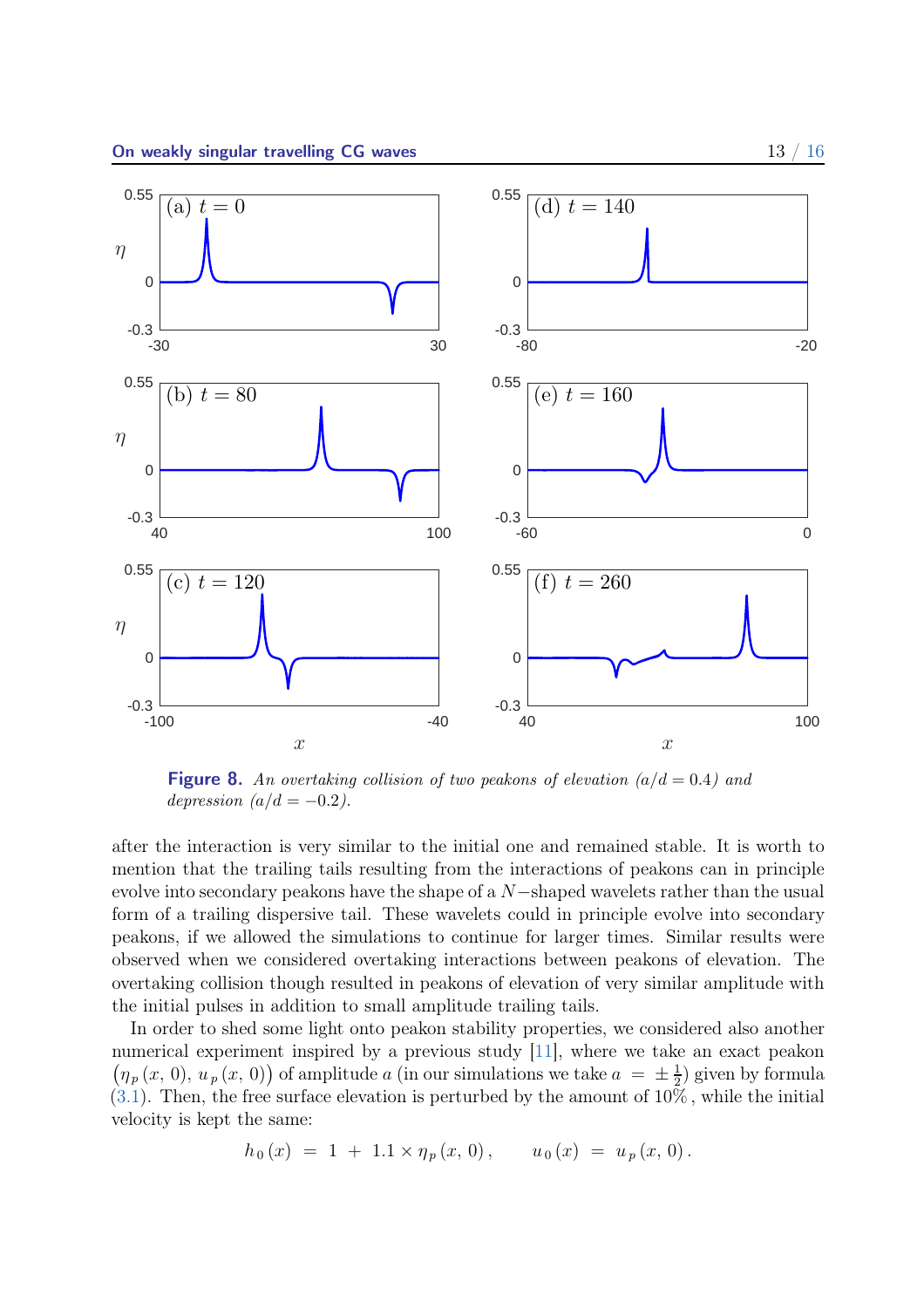<span id="page-13-1"></span><span id="page-13-0"></span>

**Figure 8.** An overtaking collision of two peakons of elevation  $(a/d = 0.4)$  and depression  $(a/d = -0.2)$ .

after the interaction is very similar to the initial one and remained stable. It is worth to mention that the trailing tails resulting from the interactions of peakons can in principle evolve into secondary peakons have the shape of a N−shaped wavelets rather than the usual form of a trailing dispersive tail. These wavelets could in principle evolve into secondary peakons, if we allowed the simulations to continue for larger times. Similar results were observed when we considered overtaking interactions between peakons of elevation. The overtaking collision though resulted in peakons of elevation of very similar amplitude with the initial pulses in addition to small amplitude trailing tails.

In order to shed some light onto peakon stability properties, we considered also another numerical experiment inspired by a previous study [\[11](#page-16-12)], where we take an exact peakon  $(\eta_p(x, 0), u_p(x, 0))$  of amplitude a (in our simulations we take  $a = \pm \frac{1}{2}$  $(\frac{1}{2})$  given by formula  $(3.1)$ . Then, the free surface elevation is perturbed by the amount of  $10\%$ , while the initial velocity is kept the same:

$$
h_0(x) = 1 + 1.1 \times \eta_p(x, 0), \qquad u_0(x) = u_p(x, 0).
$$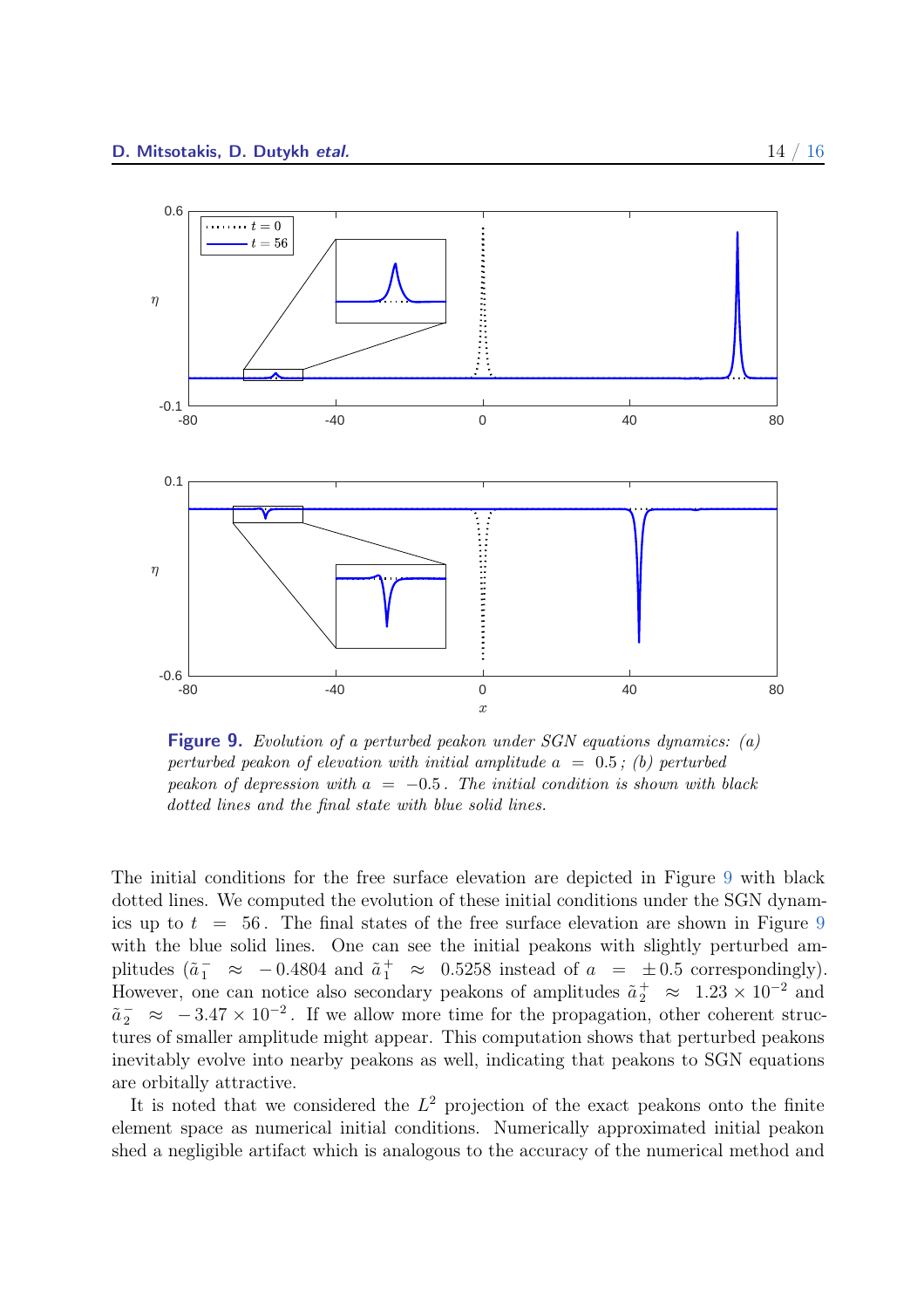<span id="page-14-0"></span>

**Figure 9.** Evolution of a perturbed peakon under SGN equations dynamics: (a) perturbed peakon of elevation with initial amplitude  $a = 0.5$ ; (b) perturbed peakon of depression with  $a = -0.5$ . The initial condition is shown with black dotted lines and the final state with blue solid lines.

The initial conditions for the free surface elevation are depicted in Figure [9](#page-14-0) with black dotted lines. We computed the evolution of these initial conditions under the SGN dynamics up to  $t = 56$ . The final states of the free surface elevation are shown in Figure [9](#page-14-0) with the blue solid lines. One can see the initial peakons with slightly perturbed amplitudes  $(\tilde{a}_1^- \approx -0.4804 \text{ and } \tilde{a}_1^+ \approx 0.5258 \text{ instead of } a = \pm 0.5 \text{ correspondingly}).$ However, one can notice also secondary peakons of amplitudes  $\tilde{a}_2^+ \approx 1.23 \times 10^{-2}$  and  $\tilde{a}_2^-\approx -3.47 \times 10^{-2}$ . If we allow more time for the propagation, other coherent structures of smaller amplitude might appear. This computation shows that perturbed peakons inevitably evolve into nearby peakons as well, indicating that peakons to SGN equations are orbitally attractive.

It is noted that we considered the  $L^2$  projection of the exact peakons onto the finite element space as numerical initial conditions. Numerically approximated initial peakon shed a negligible artifact which is analogous to the accuracy of the numerical method and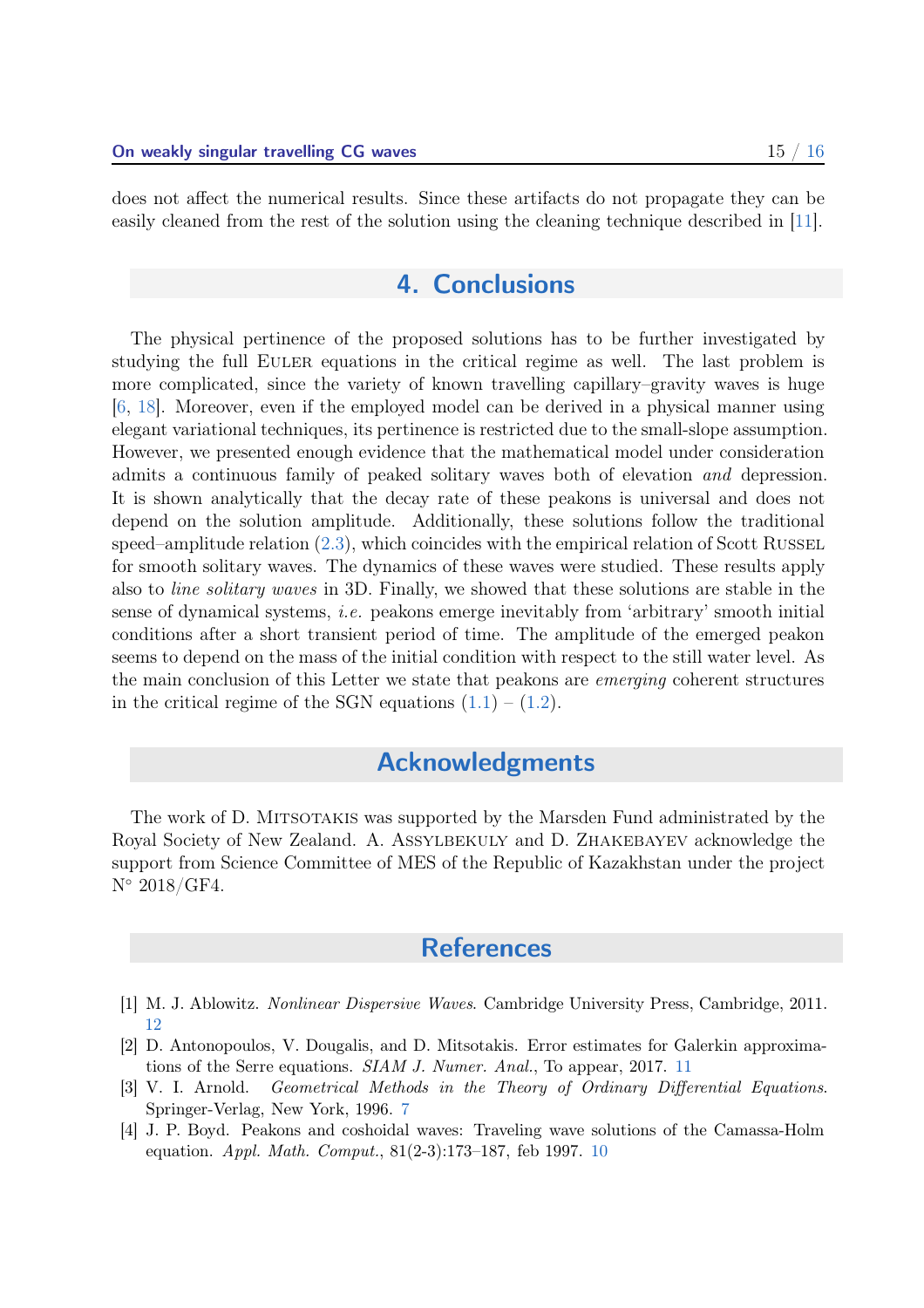<span id="page-15-6"></span><span id="page-15-0"></span>does not affect the numerical results. Since these artifacts do not propagate they can be easily cleaned from the rest of the solution using the cleaning technique described in [\[11\]](#page-16-12).

# 4. Conclusions

The physical pertinence of the proposed solutions has to be further investigated by studying the full Euler equations in the critical regime as well. The last problem is more complicated, since the variety of known travelling capillary–gravity waves is huge [\[6](#page-16-13), [18](#page-16-14)]. Moreover, even if the employed model can be derived in a physical manner using elegant variational techniques, its pertinence is restricted due to the small-slope assumption. However, we presented enough evidence that the mathematical model under consideration admits a continuous family of peaked solitary waves both of elevation and depression. It is shown analytically that the decay rate of these peakons is universal and does not depend on the solution amplitude. Additionally, these solutions follow the traditional speed–amplitude relation  $(2.3)$ , which coincides with the empirical relation of Scott RUSSEL for smooth solitary waves. The dynamics of these waves were studied. These results apply also to line solitary waves in 3D. Finally, we showed that these solutions are stable in the sense of dynamical systems, i.e. peakons emerge inevitably from 'arbitrary' smooth initial conditions after a short transient period of time. The amplitude of the emerged peakon seems to depend on the mass of the initial condition with respect to the still water level. As the main conclusion of this Letter we state that peakons are emerging coherent structures in the critical regime of the SGN equations  $(1.1) - (1.2)$  $(1.1) - (1.2)$ .

# Acknowledgments

<span id="page-15-1"></span>The work of D. Mitsotakis was supported by the Marsden Fund administrated by the Royal Society of New Zealand. A. Assylbekuly and D. Zhakebayev acknowledge the support from Science Committee of MES of the Republic of Kazakhstan under the project N◦ 2018/GF4.

## **References**

- <span id="page-15-5"></span>[1] M. J. Ablowitz. Nonlinear Dispersive Waves. Cambridge University Press, Cambridge, 2011. [12](#page-12-1)
- <span id="page-15-4"></span>[2] D. Antonopoulos, V. Dougalis, and D. Mitsotakis. Error estimates for Galerkin approximations of the Serre equations. SIAM J. Numer. Anal., To appear, 2017. [11](#page-11-1)
- <span id="page-15-2"></span>[3] V. I. Arnold. Geometrical Methods in the Theory of Ordinary Differential Equations. Springer-Verlag, New York, 1996. [7](#page-7-3)
- <span id="page-15-3"></span>[4] J. P. Boyd. Peakons and coshoidal waves: Traveling wave solutions of the Camassa-Holm equation. Appl. Math. Comput., 81(2-3):173–187, feb 1997. [10](#page-10-3)